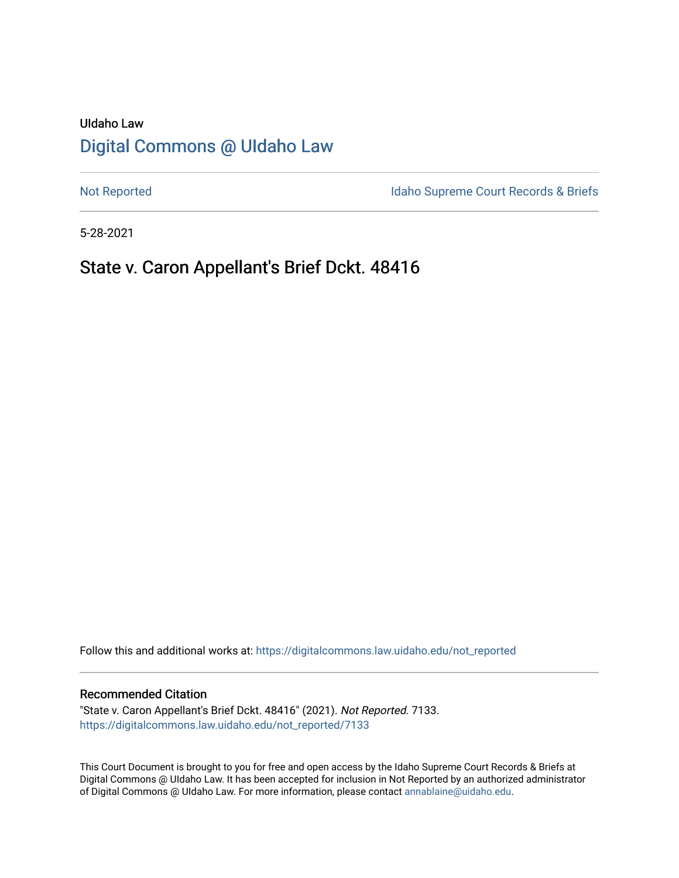# UIdaho Law [Digital Commons @ UIdaho Law](https://digitalcommons.law.uidaho.edu/)

[Not Reported](https://digitalcommons.law.uidaho.edu/not_reported) **Idaho Supreme Court Records & Briefs** 

5-28-2021

# State v. Caron Appellant's Brief Dckt. 48416

Follow this and additional works at: [https://digitalcommons.law.uidaho.edu/not\\_reported](https://digitalcommons.law.uidaho.edu/not_reported?utm_source=digitalcommons.law.uidaho.edu%2Fnot_reported%2F7133&utm_medium=PDF&utm_campaign=PDFCoverPages) 

#### Recommended Citation

"State v. Caron Appellant's Brief Dckt. 48416" (2021). Not Reported. 7133. [https://digitalcommons.law.uidaho.edu/not\\_reported/7133](https://digitalcommons.law.uidaho.edu/not_reported/7133?utm_source=digitalcommons.law.uidaho.edu%2Fnot_reported%2F7133&utm_medium=PDF&utm_campaign=PDFCoverPages)

This Court Document is brought to you for free and open access by the Idaho Supreme Court Records & Briefs at Digital Commons @ UIdaho Law. It has been accepted for inclusion in Not Reported by an authorized administrator of Digital Commons @ UIdaho Law. For more information, please contact [annablaine@uidaho.edu](mailto:annablaine@uidaho.edu).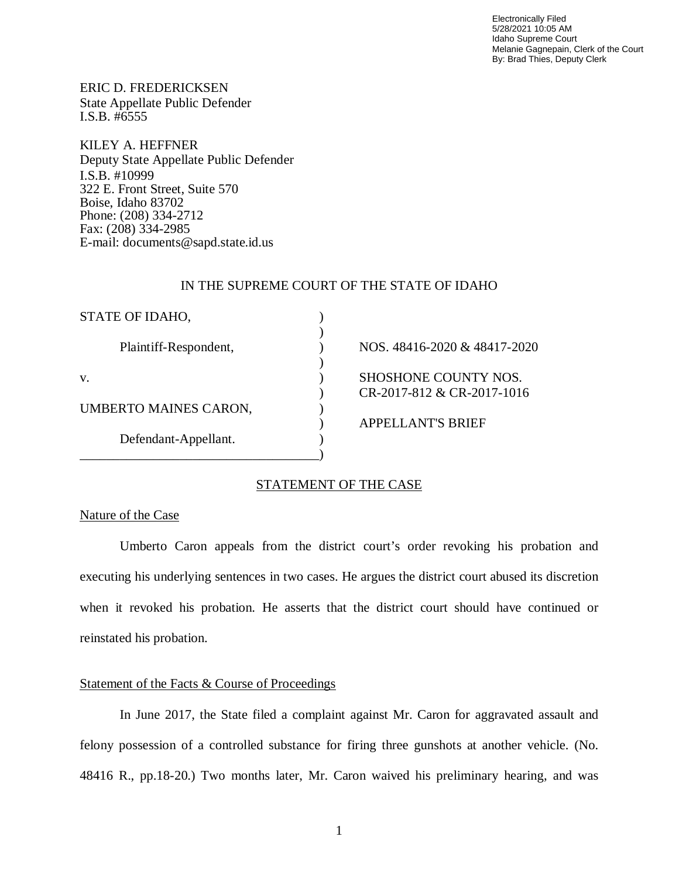Electronically Filed 5/28/2021 10:05 AM Idaho Supreme Court Melanie Gagnepain, Clerk of the Court By: Brad Thies, Deputy Clerk

ERIC D. FREDERICKSEN State Appellate Public Defender I.S.B. #6555

KILEY A. HEFFNER Deputy State Appellate Public Defender I.S.B. #10999 322 E. Front Street, Suite 570 Boise, Idaho 83702 Phone: (208) 334-2712 Fax: (208) 334-2985 E-mail: documents@sapd.state.id.us

#### IN THE SUPREME COURT OF THE STATE OF IDAHO

| STATE OF IDAHO,       |                                                    |
|-----------------------|----------------------------------------------------|
| Plaintiff-Respondent, | NOS. 48416-2020 & 48417-2020                       |
| V.                    | SHOSHONE COUNTY NOS.<br>CR-2017-812 & CR-2017-1016 |
| UMBERTO MAINES CARON, |                                                    |
|                       | <b>APPELLANT'S BRIEF</b>                           |
| Defendant-Appellant.  |                                                    |
|                       |                                                    |

# STATEMENT OF THE CASE

### Nature of the Case

Umberto Caron appeals from the district court's order revoking his probation and executing his underlying sentences in two cases. He argues the district court abused its discretion when it revoked his probation. He asserts that the district court should have continued or reinstated his probation.

# Statement of the Facts & Course of Proceedings

In June 2017, the State filed a complaint against Mr. Caron for aggravated assault and felony possession of a controlled substance for firing three gunshots at another vehicle. (No. 48416 R., pp.18-20.) Two months later, Mr. Caron waived his preliminary hearing, and was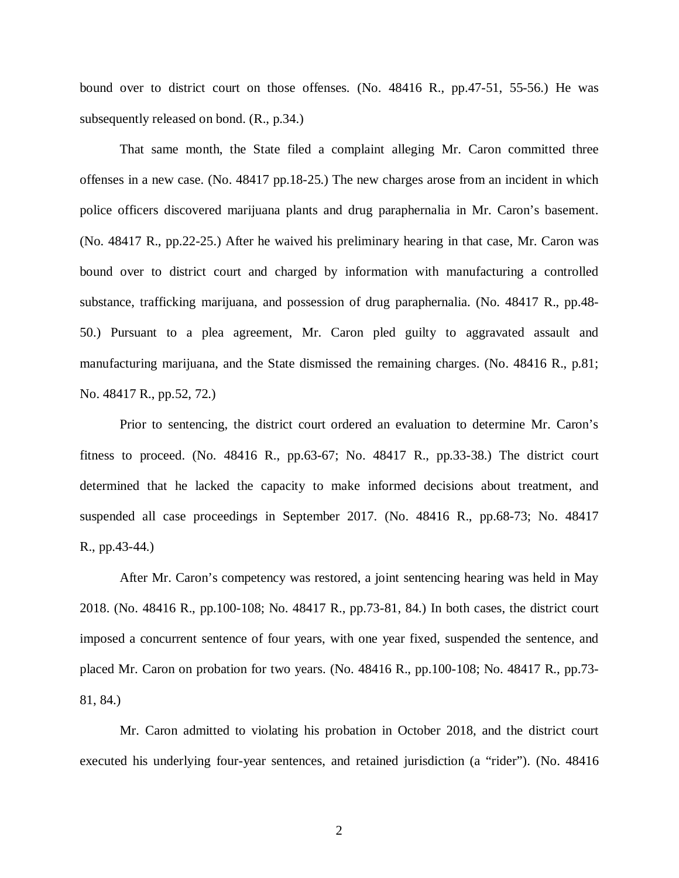bound over to district court on those offenses. (No. 48416 R., pp.47-51, 55-56.) He was subsequently released on bond. (R., p.34.)

That same month, the State filed a complaint alleging Mr. Caron committed three offenses in a new case. (No. 48417 pp.18-25.) The new charges arose from an incident in which police officers discovered marijuana plants and drug paraphernalia in Mr. Caron's basement. (No. 48417 R., pp.22-25.) After he waived his preliminary hearing in that case, Mr. Caron was bound over to district court and charged by information with manufacturing a controlled substance, trafficking marijuana, and possession of drug paraphernalia. (No. 48417 R., pp.48- 50.) Pursuant to a plea agreement, Mr. Caron pled guilty to aggravated assault and manufacturing marijuana, and the State dismissed the remaining charges. (No. 48416 R., p.81; No. 48417 R., pp.52, 72.)

Prior to sentencing, the district court ordered an evaluation to determine Mr. Caron's fitness to proceed. (No. 48416 R., pp.63-67; No. 48417 R., pp.33-38.) The district court determined that he lacked the capacity to make informed decisions about treatment, and suspended all case proceedings in September 2017. (No. 48416 R., pp.68-73; No. 48417 R., pp.43-44.)

After Mr. Caron's competency was restored, a joint sentencing hearing was held in May 2018. (No. 48416 R., pp.100-108; No. 48417 R., pp.73-81, 84.) In both cases, the district court imposed a concurrent sentence of four years, with one year fixed, suspended the sentence, and placed Mr. Caron on probation for two years. (No. 48416 R., pp.100-108; No. 48417 R., pp.73- 81, 84.)

Mr. Caron admitted to violating his probation in October 2018, and the district court executed his underlying four-year sentences, and retained jurisdiction (a "rider"). (No. 48416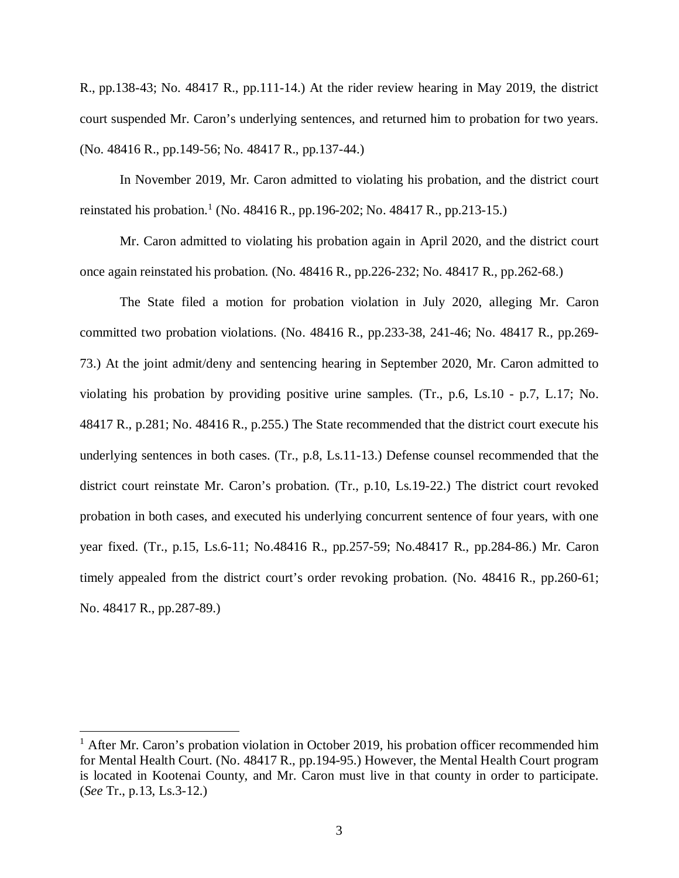R., pp.138-43; No. 48417 R., pp.111-14.) At the rider review hearing in May 2019, the district court suspended Mr. Caron's underlying sentences, and returned him to probation for two years. (No. 48416 R., pp.149-56; No. 48417 R., pp.137-44.)

In November 2019, Mr. Caron admitted to violating his probation, and the district court reinstated his probation.<sup>[1](#page-3-0)</sup> (No. 48416 R., pp. 196-202; No. 48417 R., pp. 213-15.)

Mr. Caron admitted to violating his probation again in April 2020, and the district court once again reinstated his probation. (No. 48416 R., pp.226-232; No. 48417 R., pp.262-68.)

The State filed a motion for probation violation in July 2020, alleging Mr. Caron committed two probation violations. (No. 48416 R., pp.233-38, 241-46; No. 48417 R., pp.269- 73.) At the joint admit/deny and sentencing hearing in September 2020, Mr. Caron admitted to violating his probation by providing positive urine samples. (Tr., p.6, Ls.10 - p.7, L.17; No. 48417 R., p.281; No. 48416 R., p.255.) The State recommended that the district court execute his underlying sentences in both cases. (Tr., p.8, Ls.11-13.) Defense counsel recommended that the district court reinstate Mr. Caron's probation. (Tr., p.10, Ls.19-22.) The district court revoked probation in both cases, and executed his underlying concurrent sentence of four years, with one year fixed. (Tr., p.15, Ls.6-11; No.48416 R., pp.257-59; No.48417 R., pp.284-86.) Mr. Caron timely appealed from the district court's order revoking probation. (No. 48416 R., pp.260-61; No. 48417 R., pp.287-89.)

<span id="page-3-0"></span><sup>&</sup>lt;sup>1</sup> After Mr. Caron's probation violation in October 2019, his probation officer recommended him for Mental Health Court. (No. 48417 R., pp.194-95.) However, the Mental Health Court program is located in Kootenai County, and Mr. Caron must live in that county in order to participate. (*See* Tr., p.13, Ls.3-12.)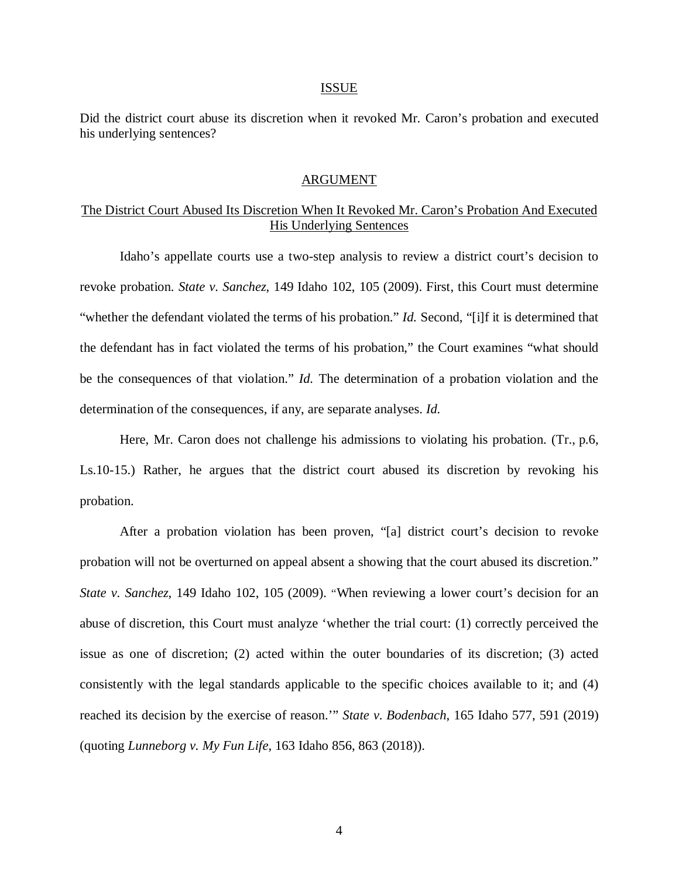#### ISSUE

Did the district court abuse its discretion when it revoked Mr. Caron's probation and executed his underlying sentences?

#### ARGUMENT

# The District Court Abused Its Discretion When It Revoked Mr. Caron's Probation And Executed His Underlying Sentences

Idaho's appellate courts use a two-step analysis to review a district court's decision to revoke probation. *State v. Sanchez*, 149 Idaho 102, 105 (2009). First, this Court must determine "whether the defendant violated the terms of his probation." *Id.* Second, "[i]f it is determined that the defendant has in fact violated the terms of his probation," the Court examines "what should be the consequences of that violation." *Id.* The determination of a probation violation and the determination of the consequences, if any, are separate analyses. *Id.*

Here, Mr. Caron does not challenge his admissions to violating his probation. (Tr., p.6, Ls.10-15.) Rather, he argues that the district court abused its discretion by revoking his probation.

After a probation violation has been proven, "[a] district court's decision to revoke probation will not be overturned on appeal absent a showing that the court abused its discretion." *State v. Sanchez*, 149 Idaho 102, 105 (2009). "When reviewing a lower court's decision for an abuse of discretion, this Court must analyze 'whether the trial court: (1) correctly perceived the issue as one of discretion; (2) acted within the outer boundaries of its discretion; (3) acted consistently with the legal standards applicable to the specific choices available to it; and (4) reached its decision by the exercise of reason.'" *State v. Bodenbach*, 165 Idaho 577, 591 (2019) (quoting *Lunneborg v. My Fun Life*, 163 Idaho 856, 863 (2018)).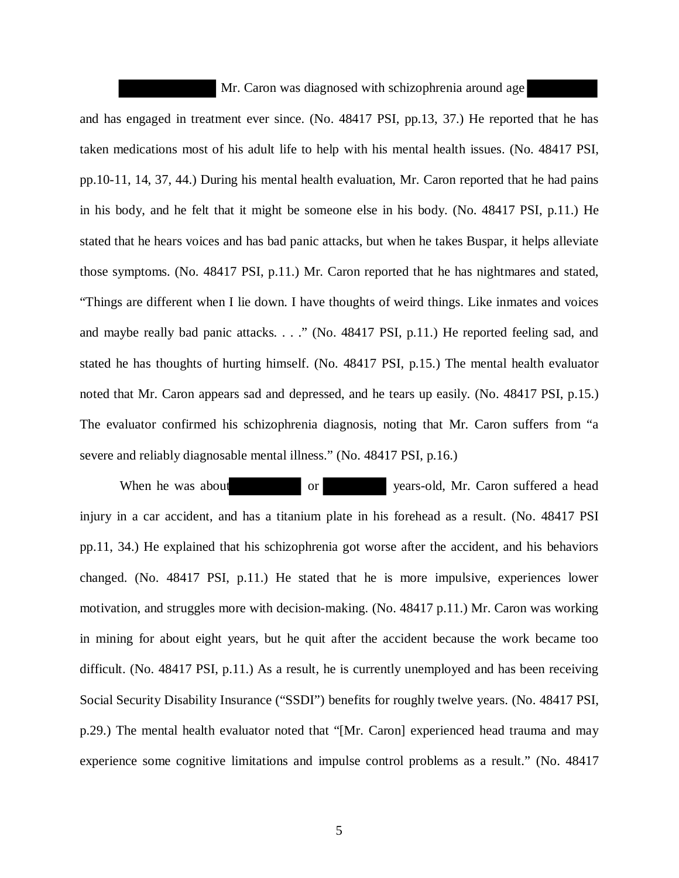Mr. Caron was diagnosed with schizophrenia around age and has engaged in treatment ever since. (No. 48417 PSI, pp.13, 37.) He reported that he has taken medications most of his adult life to help with his mental health issues. (No. 48417 PSI, pp.10-11, 14, 37, 44.) During his mental health evaluation, Mr. Caron reported that he had pains in his body, and he felt that it might be someone else in his body. (No. 48417 PSI, p.11.) He stated that he hears voices and has bad panic attacks, but when he takes Buspar, it helps alleviate those symptoms. (No. 48417 PSI, p.11.) Mr. Caron reported that he has nightmares and stated, "Things are different when I lie down. I have thoughts of weird things. Like inmates and voices and maybe really bad panic attacks. . . ." (No. 48417 PSI, p.11.) He reported feeling sad, and stated he has thoughts of hurting himself. (No. 48417 PSI, p.15.) The mental health evaluator noted that Mr. Caron appears sad and depressed, and he tears up easily. (No. 48417 PSI, p.15.) The evaluator confirmed his schizophrenia diagnosis, noting that Mr. Caron suffers from "a severe and reliably diagnosable mental illness." (No. 48417 PSI, p.16.)

When he was about or vears-old, Mr. Caron suffered a head injury in a car accident, and has a titanium plate in his forehead as a result. (No. 48417 PSI pp.11, 34.) He explained that his schizophrenia got worse after the accident, and his behaviors changed. (No. 48417 PSI, p.11.) He stated that he is more impulsive, experiences lower motivation, and struggles more with decision-making. (No. 48417 p.11.) Mr. Caron was working in mining for about eight years, but he quit after the accident because the work became too difficult. (No. 48417 PSI, p.11.) As a result, he is currently unemployed and has been receiving Social Security Disability Insurance ("SSDI") benefits for roughly twelve years. (No. 48417 PSI, p.29.) The mental health evaluator noted that "[Mr. Caron] experienced head trauma and may experience some cognitive limitations and impulse control problems as a result." (No. 48417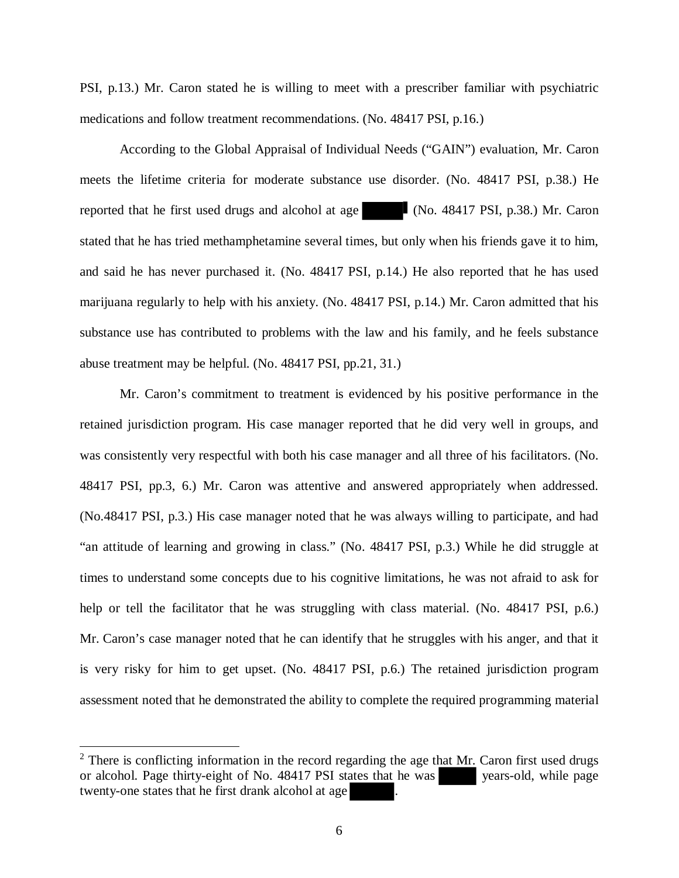PSI, p.13.) Mr. Caron stated he is willing to meet with a prescriber familiar with psychiatric medications and follow treatment recommendations. (No. 48417 PSI, p.16.)

According to the Global Appraisal of Individual Needs ("GAIN") evaluation, Mr. Caron meets the lifetime criteria for moderate substance use disorder. (No. 48417 PSI, p.38.) He reported that he first used drugs and alcohol at age (No. 48417 PSI, p.38.) Mr. Caron stated that he has tried methamphetamine several times, but only when his friends gave it to him, and said he has never purchased it. (No. 48417 PSI, p.14.) He also reported that he has used marijuana regularly to help with his anxiety. (No. 48417 PSI, p.14.) Mr. Caron admitted that his substance use has contributed to problems with the law and his family, and he feels substance abuse treatment may be helpful. (No. 48417 PSI, pp.21, 31.)

Mr. Caron's commitment to treatment is evidenced by his positive performance in the retained jurisdiction program. His case manager reported that he did very well in groups, and was consistently very respectful with both his case manager and all three of his facilitators. (No. 48417 PSI, pp.3, 6.) Mr. Caron was attentive and answered appropriately when addressed. (No.48417 PSI, p.3.) His case manager noted that he was always willing to participate, and had "an attitude of learning and growing in class." (No. 48417 PSI, p.3.) While he did struggle at times to understand some concepts due to his cognitive limitations, he was not afraid to ask for help or tell the facilitator that he was struggling with class material. (No. 48417 PSI, p.6.) Mr. Caron's case manager noted that he can identify that he struggles with his anger, and that it is very risky for him to get upset. (No. 48417 PSI, p.6.) The retained jurisdiction program assessment noted that he demonstrated the ability to complete the required programming material

 $2$  There is conflicting information in the record regarding the age that Mr. Caron first used drugs or alcohol. Page thirty-eight of No. 48417 PSI states that he was years-old, while page twenty-one states that he first drank alcohol at age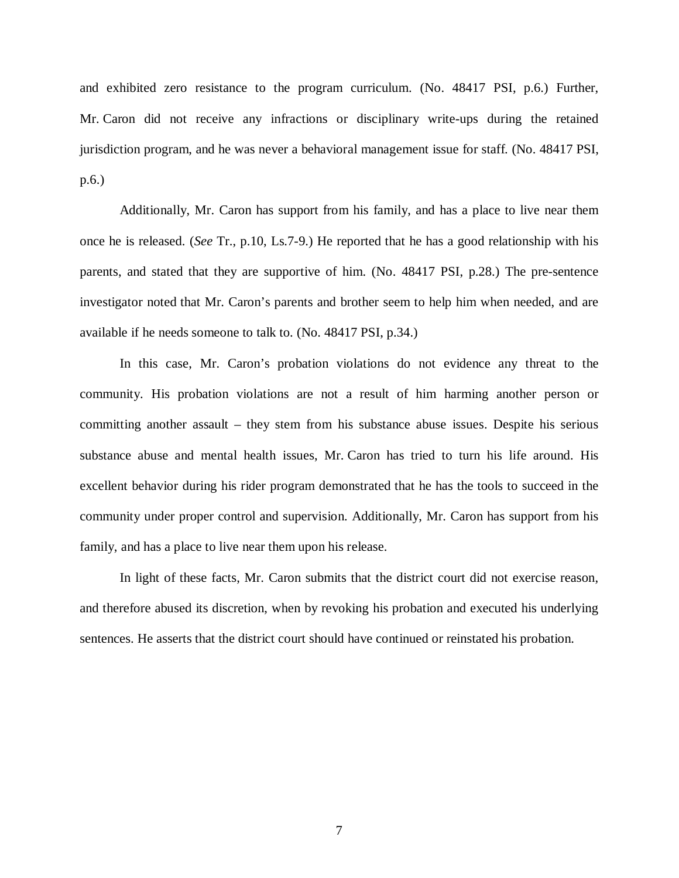and exhibited zero resistance to the program curriculum. (No. 48417 PSI, p.6.) Further, Mr. Caron did not receive any infractions or disciplinary write-ups during the retained jurisdiction program, and he was never a behavioral management issue for staff. (No. 48417 PSI, p.6.)

Additionally, Mr. Caron has support from his family, and has a place to live near them once he is released. (*See* Tr., p.10, Ls.7-9.) He reported that he has a good relationship with his parents, and stated that they are supportive of him. (No. 48417 PSI, p.28.) The pre-sentence investigator noted that Mr. Caron's parents and brother seem to help him when needed, and are available if he needs someone to talk to. (No. 48417 PSI, p.34.)

In this case, Mr. Caron's probation violations do not evidence any threat to the community. His probation violations are not a result of him harming another person or committing another assault – they stem from his substance abuse issues. Despite his serious substance abuse and mental health issues, Mr. Caron has tried to turn his life around. His excellent behavior during his rider program demonstrated that he has the tools to succeed in the community under proper control and supervision. Additionally, Mr. Caron has support from his family, and has a place to live near them upon his release.

In light of these facts, Mr. Caron submits that the district court did not exercise reason, and therefore abused its discretion, when by revoking his probation and executed his underlying sentences. He asserts that the district court should have continued or reinstated his probation.